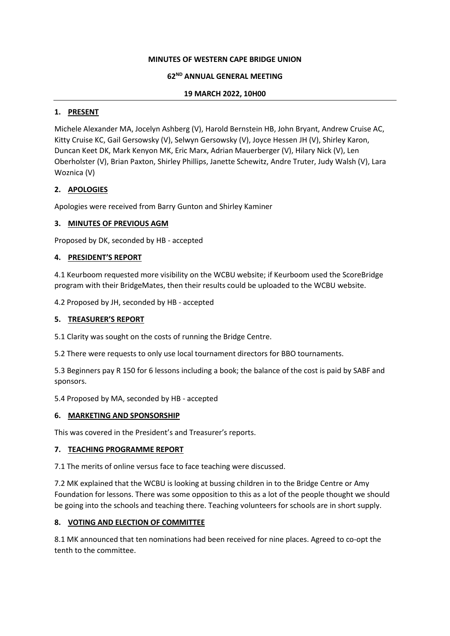### **MINUTES OF WESTERN CAPE BRIDGE UNION**

### **62ND ANNUAL GENERAL MEETING**

### **19 MARCH 2022, 10H00**

### **1. PRESENT**

Michele Alexander MA, Jocelyn Ashberg (V), Harold Bernstein HB, John Bryant, Andrew Cruise AC, Kitty Cruise KC, Gail Gersowsky (V), Selwyn Gersowsky (V), Joyce Hessen JH (V), Shirley Karon, Duncan Keet DK, Mark Kenyon MK, Eric Marx, Adrian Mauerberger (V), Hilary Nick (V), Len Oberholster (V), Brian Paxton, Shirley Phillips, Janette Schewitz, Andre Truter, Judy Walsh (V), Lara Woznica (V)

# **2. APOLOGIES**

Apologies were received from Barry Gunton and Shirley Kaminer

### **3. MINUTES OF PREVIOUS AGM**

Proposed by DK, seconded by HB - accepted

### **4. PRESIDENT'S REPORT**

4.1 Keurboom requested more visibility on the WCBU website; if Keurboom used the ScoreBridge program with their BridgeMates, then their results could be uploaded to the WCBU website.

4.2 Proposed by JH, seconded by HB - accepted

### **5. TREASURER'S REPORT**

5.1 Clarity was sought on the costs of running the Bridge Centre.

5.2 There were requests to only use local tournament directors for BBO tournaments.

5.3 Beginners pay R 150 for 6 lessons including a book; the balance of the cost is paid by SABF and sponsors.

5.4 Proposed by MA, seconded by HB - accepted

#### **6. MARKETING AND SPONSORSHIP**

This was covered in the President's and Treasurer's reports.

# **7. TEACHING PROGRAMME REPORT**

7.1 The merits of online versus face to face teaching were discussed.

7.2 MK explained that the WCBU is looking at bussing children in to the Bridge Centre or Amy Foundation for lessons. There was some opposition to this as a lot of the people thought we should be going into the schools and teaching there. Teaching volunteers for schools are in short supply.

# **8. VOTING AND ELECTION OF COMMITTEE**

8.1 MK announced that ten nominations had been received for nine places. Agreed to co-opt the tenth to the committee.